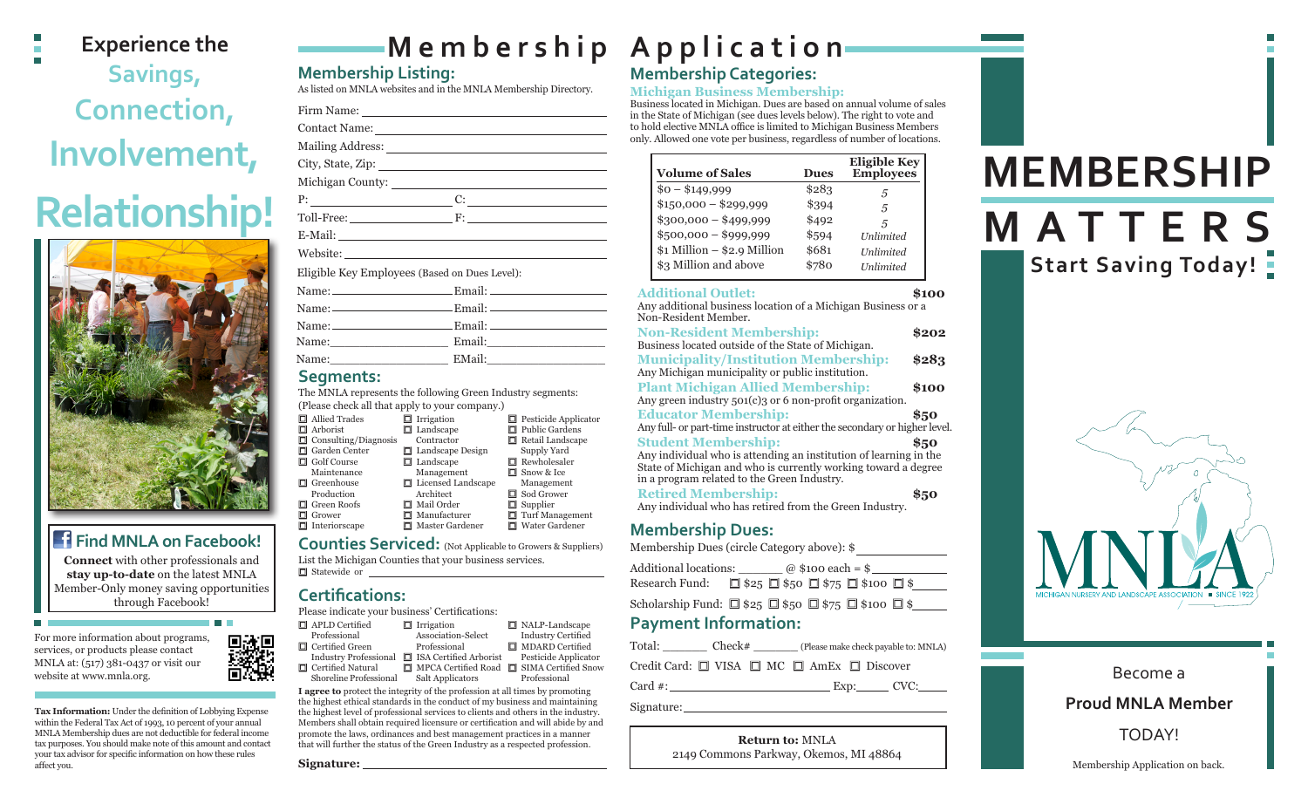### **Experience the Savings, Connection, Involvement, Relationship!**



#### **Find MNLA on Facebook!**

**Connect** with other professionals and **stay up-to-date** on the latest MNLA Member-Only money saving opportunities through Facebook!

For more information about programs, services, or products please contact MNLA at: (517) 381-0437 or visit our website at www.mnla.org.

**Tax Information:** Under the definition of Lobbying Expense within the Federal Tax Act of 1993, 10 percent of your annual MNLA Membership dues are not deductible for federal income tax purposes. You should make note of this amount and contact your tax advisor for specific information on how these rules affect you.

## **Membership Application**

#### **Membership Listing:**

As listed on MNLA websites and in the MNLA Membership Directory.

Firm Name: Contact Name: Mailing Address: City, State, Zip: Michigan County:  $P:$  C: Toll-Free: F: E-Mail: Website: Eligible Key Employees (Based on Dues Level): Name: Email:

|       | Name: $\_\_\_\_\_\_\_\_\$ Email: $\_\_\_\_\_\_\_\_\_\_\_\_\_\_\_\_\_\_\_\_$ |
|-------|-----------------------------------------------------------------------------|
|       |                                                                             |
| Name: |                                                                             |
| Name: |                                                                             |
|       |                                                                             |

#### **Segments:**

The MNLA represents the following Green Industry segments: (Please check all that apply to your company.)

|    | $\Box$ Allied Trades        | $\Box$ Irrigation       | $\Box$ Pesticide Applicator |
|----|-----------------------------|-------------------------|-----------------------------|
|    | $\Box$ Arborist             | $\Box$ Landscape        | □ Public Gardens            |
|    | $\Box$ Consulting/Diagnosis | Contractor              | $\Box$ Retail Landscape     |
|    | $\Box$ Garden Center        | $\Box$ Landscape Design | Supply Yard                 |
|    | $\Box$ Golf Course          | $\Box$ Landscape        | $\Box$ Rewholesaler         |
|    | Maintenance                 | Management              | $\Box$ Snow & Ice           |
|    | $\Box$ Greenhouse           | □ Licensed Landscape    | Management                  |
|    | Production                  | Architect               | $\Box$ Sod Grower           |
| O. | Green Roofs                 | Mail Order              | $\Box$ Supplier             |
| o  | Grower                      | $\Box$ Manufacturer     | $\Box$ Turf Management      |
|    | $\Box$ Interiorscape        | $\Box$ Master Gardener  | □ Water Gardener            |
|    |                             |                         |                             |

**Counties Serviced:** (Not Applicable to Growers & Suppliers)

■ Statewide or List the Michigan Counties that your business services.

#### **Certifications:**

Please indicate your business' Certifications:

| $\Box$ APLD Certified        | $\Box$ Irrigation                                                                                                                                                                                                                                                                    | $\Box$ NALP-Landscape     |
|------------------------------|--------------------------------------------------------------------------------------------------------------------------------------------------------------------------------------------------------------------------------------------------------------------------------------|---------------------------|
| Professional                 | Association-Select                                                                                                                                                                                                                                                                   | <b>Industry Certified</b> |
| $\Box$ Certified Green       | Professional                                                                                                                                                                                                                                                                         | □ MDARD Certified         |
| <b>Industry Professional</b> | $\Box$ ISA Certified Arborist                                                                                                                                                                                                                                                        | Pesticide Applicator      |
| 口 Certified Natural          | $\Box$ MPCA Certified Road $\Box$ SIMA Certified Snow                                                                                                                                                                                                                                |                           |
|                              | $\sim$ 1. $\sim$ 1. $\sim$ 1. $\sim$ 1. $\sim$ 1. $\sim$ 1. $\sim$ 1. $\sim$ 1. $\sim$ 1. $\sim$ 1. $\sim$ 1. $\sim$ 1. $\sim$ 1. $\sim$ 1. $\sim$ 1. $\sim$ 1. $\sim$ 1. $\sim$ 1. $\sim$ 1. $\sim$ 1. $\sim$ 1. $\sim$ 1. $\sim$ 1. $\sim$ 1. $\sim$ 1. $\sim$ 1. $\sim$ 1. $\sim$ |                           |

**I agree to** protect the integrity of the profession at all times by promoting Shoreline Professional Salt Applicators Professional

the highest ethical standards in the conduct of my business and maintaining the highest level of professional services to clients and others in the industry. Members shall obtain required licensure or certification and will abide by and promote the laws, ordinances and best management practices in a manner that will further the status of the Green Industry as a respected profession.

**Signature:**

### **Membership Categories:**

#### **Michigan Business Membership:**

Business located in Michigan. Dues are based on annual volume of sales in the State of Michigan (see dues levels below). The right to vote and to hold elective MNLA office is limited to Michigan Business Members only. Allowed one vote per business, regardless of number of locations.

| <b>Volume of Sales</b>        | <b>Dues</b> | <b>Eligible Key</b><br><b>Employees</b> |
|-------------------------------|-------------|-----------------------------------------|
| $$0 - $149,999$               | \$283       | 5                                       |
| $$150,000 - $299,999$         | \$394       | 5                                       |
| $$300,000 - $499,999$         | \$492       | 5                                       |
| $$500,000 - $999,999$         | \$594       | <b>Unlimited</b>                        |
| $$1$ Million - $$2.9$ Million | \$681       | <b>Unlimited</b>                        |
| \$3 Million and above         | \$780       | <b>Unlimited</b>                        |

#### **Additional Outlet: \$100**  Any additional business location of a Michigan Business or a Non-Resident Member. **Non-Resident Membership: \$202** Business located outside of the State of Michigan. **Municipality/Institution Membership: \$283** Any Michigan municipality or public institution. **Plant Michigan Allied Membership: \$100** Any green industry 501(c)3 or 6 non-profit organization. **Educator Membership: \$50** Any full- or part-time instructor at either the secondary or higher level. **Student Membership: \$50** Any individual who is attending an institution of learning in the State of Michigan and who is currently working toward a degree in a program related to the Green Industry. **Retired Membership: \$50**

Any individual who has retired from the Green Industry.

#### **Membership Dues:**

Membership Dues (circle Category above): \$

Additional locations:  $\qquad \qquad \textcircled{a}$  \$100 each = \$ Research Fund:  $\Box$  \$25  $\Box$  \$50  $\Box$  \$75  $\Box$  \$100  $\Box$  \$

Scholarship Fund:  $\Box$  \$25  $\Box$  \$50  $\Box$  \$75  $\Box$  \$100  $\Box$  \$

#### **Payment Information:**

Total: \_\_\_\_\_\_\_\_ Check# \_\_\_\_\_\_\_ (Please make check payable to: MNLA) Credit Card:  $\Box$  VISA  $\Box$  MC  $\Box$  AmEx  $\Box$  Discover

Card #: Card #: Exp: Exp: CVC:

Signature:

**Return to:** MNLA 2149 Commons Parkway, Okemos, MI 48864

# **MEMBERSHIP**

### **MATTERS Start Saving Today!**



| Become a                 |
|--------------------------|
| <b>Proud MNLA Member</b> |
| <b>TODAY!</b>            |

Membership Application on back.